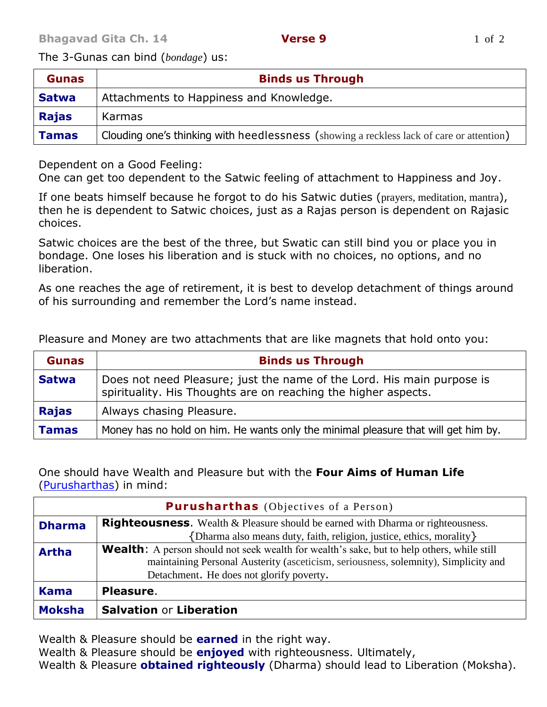The 3-Gunas can bind (*bondage*) us:

| <b>Gunas</b> | <b>Binds us Through</b>                                                                  |
|--------------|------------------------------------------------------------------------------------------|
| <b>Satwa</b> | Attachments to Happiness and Knowledge.                                                  |
| <b>Rajas</b> | Karmas                                                                                   |
| <b>Tamas</b> | Clouding one's thinking with heedlessness (showing a reckless lack of care or attention) |

Dependent on a Good Feeling:

One can get too dependent to the Satwic feeling of attachment to Happiness and Joy.

If one beats himself because he forgot to do his Satwic duties (prayers, meditation, mantra), then he is dependent to Satwic choices, just as a Rajas person is dependent on Rajasic choices.

Satwic choices are the best of the three, but Swatic can still bind you or place you in bondage. One loses his liberation and is stuck with no choices, no options, and no liberation.

As one reaches the age of retirement, it is best to develop detachment of things around of his surrounding and remember the Lord's name instead.

Pleasure and Money are two attachments that are like magnets that hold onto you:

| <b>Gunas</b> | <b>Binds us Through</b>                                                                                                                  |
|--------------|------------------------------------------------------------------------------------------------------------------------------------------|
| <b>Satwa</b> | Does not need Pleasure; just the name of the Lord. His main purpose is<br>spirituality. His Thoughts are on reaching the higher aspects. |
| <b>Rajas</b> | Always chasing Pleasure.                                                                                                                 |
| <b>Tamas</b> | Money has no hold on him. He wants only the minimal pleasure that will get him by.                                                       |

One should have Wealth and Pleasure but with the **Four Aims of Human Life** [\(Purusharthas\)](http://www.hinduwebsite.com/hinduism/h_aims.asp) in mind:

| <b>Purusharthas</b> (Objectives of a Person) |                                                                                                   |  |
|----------------------------------------------|---------------------------------------------------------------------------------------------------|--|
| <b>Dharma</b>                                | <b>Righteousness.</b> Wealth & Pleasure should be earned with Dharma or righteousness.            |  |
|                                              | {Dharma also means duty, faith, religion, justice, ethics, morality}                              |  |
| <b>Artha</b>                                 | <b>Wealth:</b> A person should not seek wealth for wealth's sake, but to help others, while still |  |
|                                              | maintaining Personal Austerity (asceticism, seriousness, solemnity), Simplicity and               |  |
|                                              | Detachment. He does not glorify poverty.                                                          |  |
| <b>Kama</b>                                  | Pleasure.                                                                                         |  |
| <b>Moksha</b>                                | <b>Salvation or Liberation</b>                                                                    |  |

Wealth & Pleasure should be **earned** in the right way.

Wealth & Pleasure should be **enjoyed** with righteousness. Ultimately,

Wealth & Pleasure **obtained righteously** (Dharma) should lead to Liberation (Moksha).